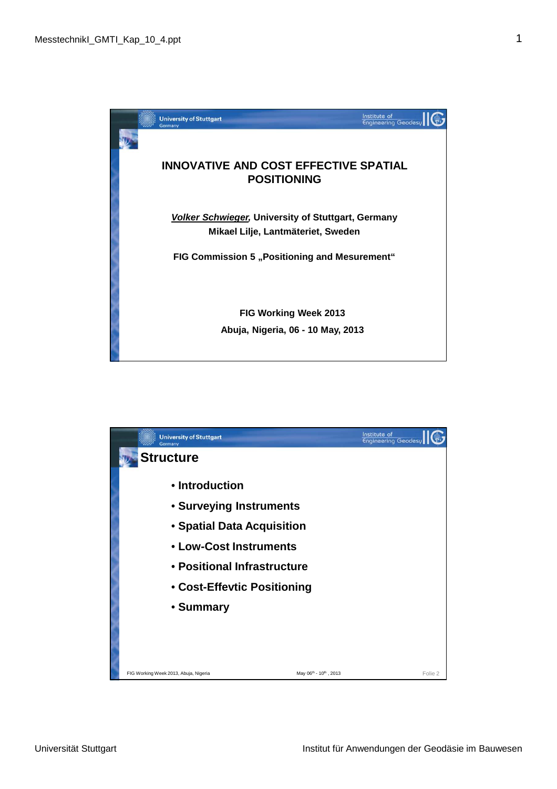

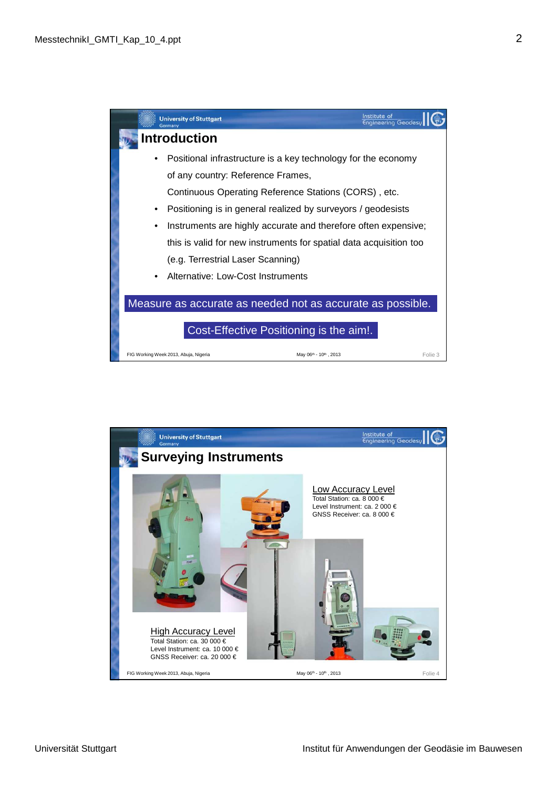

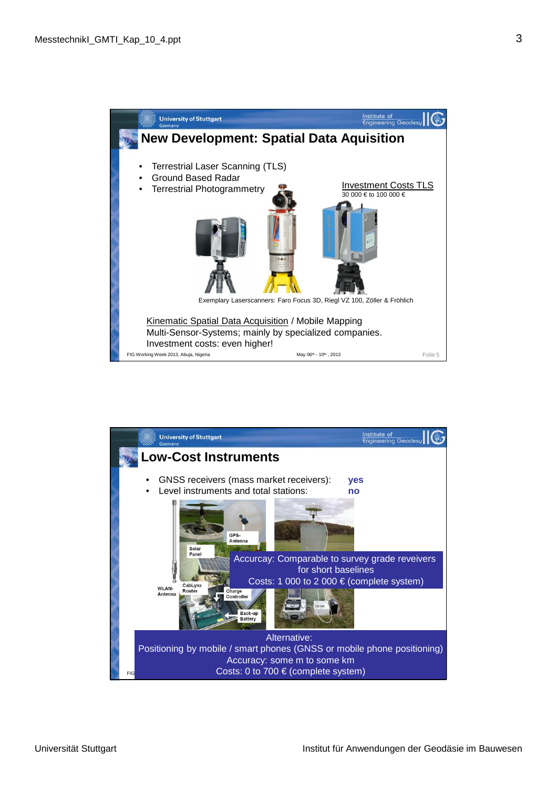

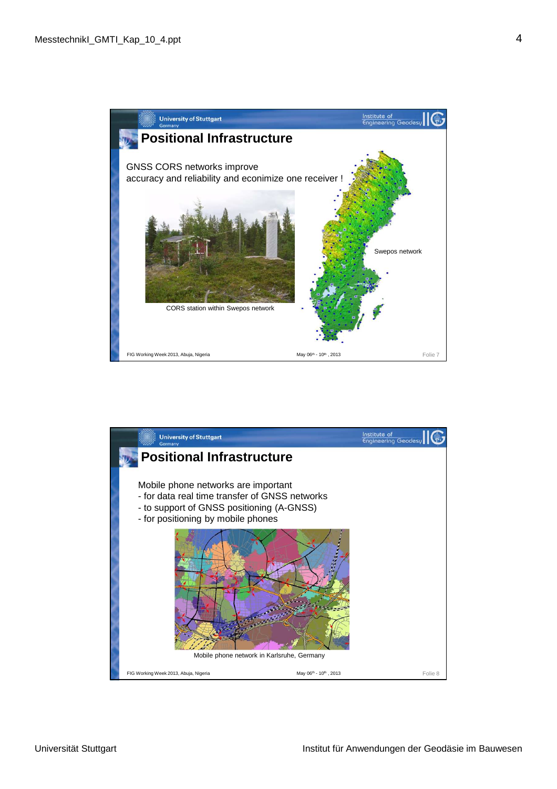

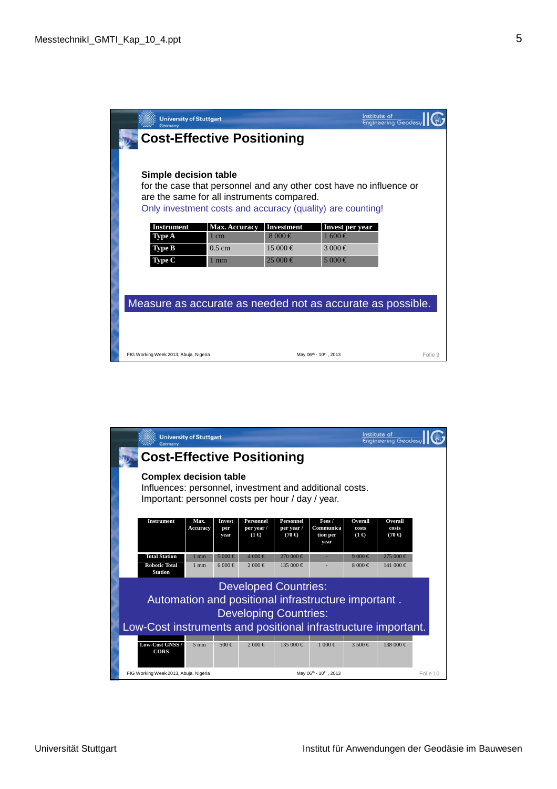|                                                            | <b>University of Stuttgart</b><br>Germany                                                                                                                                                                |                      |                       | Institute of<br><b>Engineering Geodesy</b> |         |  |  |  |
|------------------------------------------------------------|----------------------------------------------------------------------------------------------------------------------------------------------------------------------------------------------------------|----------------------|-----------------------|--------------------------------------------|---------|--|--|--|
| <b>Cost-Effective Positioning</b>                          |                                                                                                                                                                                                          |                      |                       |                                            |         |  |  |  |
|                                                            | Simple decision table<br>for the case that personnel and any other cost have no influence or<br>are the same for all instruments compared.<br>Only investment costs and accuracy (quality) are counting! |                      |                       |                                            |         |  |  |  |
|                                                            | Instrument                                                                                                                                                                                               | <b>Max. Accuracy</b> | <b>Investment</b>     | Invest per year                            |         |  |  |  |
|                                                            | <b>Type A</b>                                                                                                                                                                                            | $1 \text{ cm}$       | $8000 \in$            | $1600 \in$                                 |         |  |  |  |
|                                                            | <b>Type B</b>                                                                                                                                                                                            | $0.5 \text{ cm}$     | $15000 \in$           | 3 000 €                                    |         |  |  |  |
|                                                            | Type C                                                                                                                                                                                                   | $1 \text{ mm}$       | $25000 \in$           | 5 000 €                                    |         |  |  |  |
| Measure as accurate as needed not as accurate as possible. |                                                                                                                                                                                                          |                      |                       |                                            |         |  |  |  |
|                                                            | FIG Working Week 2013, Abuja, Nigeria                                                                                                                                                                    |                      | May 06th - 10th, 2013 |                                            | Folie 9 |  |  |  |

|                                                                                                                                                                                     | Germany                                                                                                                                       | <b>University of Stuttgart</b> |                       |                                         |                                                 |                                         | Institute of                     | <b>Engineering Geodesu</b>               |          |
|-------------------------------------------------------------------------------------------------------------------------------------------------------------------------------------|-----------------------------------------------------------------------------------------------------------------------------------------------|--------------------------------|-----------------------|-----------------------------------------|-------------------------------------------------|-----------------------------------------|----------------------------------|------------------------------------------|----------|
|                                                                                                                                                                                     | <b>Cost-Effective Positioning</b>                                                                                                             |                                |                       |                                         |                                                 |                                         |                                  |                                          |          |
|                                                                                                                                                                                     | <b>Complex decision table</b><br>Influences: personnel, investment and additional costs.<br>Important: personnel costs per hour / day / year. |                                |                       |                                         |                                                 |                                         |                                  |                                          |          |
|                                                                                                                                                                                     | <b>Instrument</b>                                                                                                                             | Max.<br><b>Accuracy</b>        | Invest<br>per<br>year | Personnel<br>per year /<br>$(1 \infty)$ | <b>Personnel</b><br>per year /<br>$(70 \infty)$ | Fees /<br>Communica<br>tion per<br>year | Overall<br>costs<br>$(1 \infty)$ | <b>Overall</b><br>costs<br>$(70 \infty)$ |          |
|                                                                                                                                                                                     | <b>Total Station</b>                                                                                                                          | $1 \text{ mm}$                 | 5000 €                | 4 000 €                                 | 270 000 €                                       |                                         | 9000 €                           | 275 000€                                 |          |
|                                                                                                                                                                                     | <b>Robotic Total</b><br><b>Station</b>                                                                                                        | $1 \text{ mm}$                 | 6000 €                | 2000 €                                  | 135 000 €                                       |                                         | $8000 \in$                       | 141 000 €                                |          |
| <b>Developed Countries:</b><br>Automation and positional infrastructure important.<br><b>Developing Countries:</b><br>Low-Cost instruments and positional infrastructure important. |                                                                                                                                               |                                |                       |                                         |                                                 |                                         |                                  |                                          |          |
|                                                                                                                                                                                     | Low-Cost GNSS /<br><b>CORS</b>                                                                                                                | $5 \text{ mm}$                 | $500 \in$             | 2000 €                                  | $135000 \in$                                    | $1000 \in$                              | $3,500 \in$                      | 138 000 €                                |          |
|                                                                                                                                                                                     | FIG Working Week 2013, Abuja, Nigeria                                                                                                         |                                |                       |                                         |                                                 | May 06th - 10th, 2013                   |                                  |                                          | Folie 10 |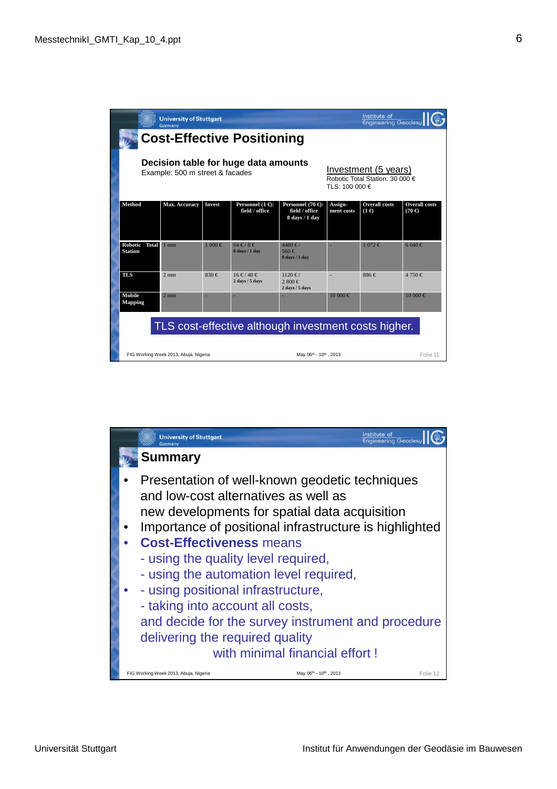|                                                                         | <b>University of Stuttgart</b><br>Germany                                 |               |                                                     |                                                                 |                       | Institute of<br><b>Engineering Geodesy</b> |                                       |  |
|-------------------------------------------------------------------------|---------------------------------------------------------------------------|---------------|-----------------------------------------------------|-----------------------------------------------------------------|-----------------------|--------------------------------------------|---------------------------------------|--|
| <b>Cost-Effective Positioning</b>                                       |                                                                           |               |                                                     |                                                                 |                       |                                            |                                       |  |
| Decision table for huge data amounts<br>Example: 500 m street & facades | Investment (5 years)<br>Robotic Total Station: 30 000 €<br>TLS: 100 000 € |               |                                                     |                                                                 |                       |                                            |                                       |  |
| <b>Method</b>                                                           | Max. Accuracy                                                             | <b>Invest</b> | Personnel $(1 \in)$ :<br>field / office             | Personnel $(70 \in)$ :<br>field / office<br>8 days / 1 day      | Assign-<br>ment costs | <b>Overall costs</b><br>$(1 \infty)$       | <b>Overall costs</b><br>$(70 \infty)$ |  |
| Robotic Total<br><b>Station</b>                                         | $1$ mm                                                                    | $1000 \in$    | $64 \text{ } \in 78 \text{ } \in$<br>8 days / 1 day | $4480 \notin$ /<br>560€<br>8 days / 1 day                       |                       | $1072 \t∈$                                 | $6040 \in$                            |  |
| <b>TLS</b>                                                              | $2 \text{ mm}$                                                            | 830€          | 16 € / 40 €<br>2 days / 5 days                      | $1120 \notin$ /<br>2,800 €<br>$2 \text{ days} / 5 \text{ days}$ | $\sim$                | 886€                                       | 4 750 €                               |  |
| Mobile<br><b>Mapping</b>                                                | $2 \text{ mm}$                                                            |               |                                                     |                                                                 | $10000 \in$           |                                            | $10000 \in$                           |  |
| TLS cost-effective although investment costs higher.                    |                                                                           |               |                                                     |                                                                 |                       |                                            |                                       |  |
|                                                                         | FIG Working Week 2013, Abuja, Nigeria                                     |               | May 06th - 10th, 2013                               |                                                                 |                       |                                            |                                       |  |

| <b>University of Stuttgart</b><br>Germany                                                                                                                                                                                                                                                                                                                                                                                                                                                |                                | Institute of<br><b>Engineering Geodesy</b> |
|------------------------------------------------------------------------------------------------------------------------------------------------------------------------------------------------------------------------------------------------------------------------------------------------------------------------------------------------------------------------------------------------------------------------------------------------------------------------------------------|--------------------------------|--------------------------------------------|
| <b>Summary</b>                                                                                                                                                                                                                                                                                                                                                                                                                                                                           |                                |                                            |
| Presentation of well-known geodetic techniques<br>and low-cost alternatives as well as<br>new developments for spatial data acquisition<br>Importance of positional infrastructure is highlighted<br><b>Cost-Effectiveness means</b><br>- using the quality level required,<br>- using the automation level required,<br>- using positional infrastructure,<br>- taking into account all costs,<br>and decide for the survey instrument and procedure<br>delivering the required quality | with minimal financial effort! |                                            |
| FIG Working Week 2013, Abuja, Nigeria                                                                                                                                                                                                                                                                                                                                                                                                                                                    | May 06th - 10th, 2013          | Folie 12                                   |